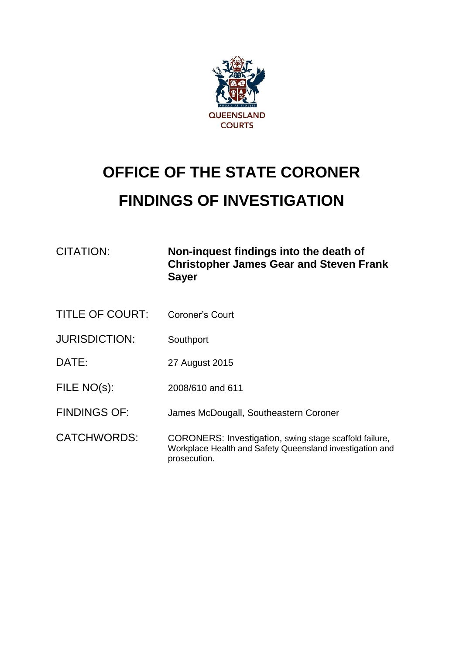

# **OFFICE OF THE STATE CORONER FINDINGS OF INVESTIGATION**

| CITATION:              | Non-inquest findings into the death of<br><b>Christopher James Gear and Steven Frank</b><br><b>Sayer</b>                           |
|------------------------|------------------------------------------------------------------------------------------------------------------------------------|
| <b>TITLE OF COURT:</b> | Coroner's Court                                                                                                                    |
| <b>JURISDICTION:</b>   | Southport                                                                                                                          |
| DATE:                  | 27 August 2015                                                                                                                     |
| FILE NO(s):            | 2008/610 and 611                                                                                                                   |
| <b>FINDINGS OF:</b>    | James McDougall, Southeastern Coroner                                                                                              |
| <b>CATCHWORDS:</b>     | CORONERS: Investigation, swing stage scaffold failure,<br>Workplace Health and Safety Queensland investigation and<br>prosecution. |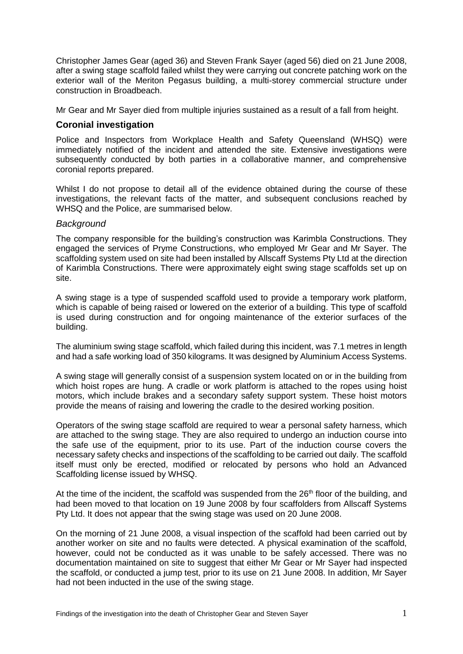Christopher James Gear (aged 36) and Steven Frank Sayer (aged 56) died on 21 June 2008, after a swing stage scaffold failed whilst they were carrying out concrete patching work on the exterior wall of the Meriton Pegasus building, a multi-storey commercial structure under construction in Broadbeach.

Mr Gear and Mr Sayer died from multiple injuries sustained as a result of a fall from height.

# **Coronial investigation**

Police and Inspectors from Workplace Health and Safety Queensland (WHSQ) were immediately notified of the incident and attended the site. Extensive investigations were subsequently conducted by both parties in a collaborative manner, and comprehensive coronial reports prepared.

Whilst I do not propose to detail all of the evidence obtained during the course of these investigations, the relevant facts of the matter, and subsequent conclusions reached by WHSQ and the Police, are summarised below.

#### *Background*

The company responsible for the building's construction was Karimbla Constructions. They engaged the services of Pryme Constructions, who employed Mr Gear and Mr Sayer. The scaffolding system used on site had been installed by Allscaff Systems Pty Ltd at the direction of Karimbla Constructions. There were approximately eight swing stage scaffolds set up on site.

A swing stage is a type of suspended scaffold used to provide a temporary work platform, which is capable of being raised or lowered on the exterior of a building. This type of scaffold is used during construction and for ongoing maintenance of the exterior surfaces of the building.

The aluminium swing stage scaffold, which failed during this incident, was 7.1 metres in length and had a safe working load of 350 kilograms. It was designed by Aluminium Access Systems.

A swing stage will generally consist of a suspension system located on or in the building from which hoist ropes are hung. A cradle or work platform is attached to the ropes using hoist motors, which include brakes and a secondary safety support system. These hoist motors provide the means of raising and lowering the cradle to the desired working position.

Operators of the swing stage scaffold are required to wear a personal safety harness, which are attached to the swing stage. They are also required to undergo an induction course into the safe use of the equipment, prior to its use. Part of the induction course covers the necessary safety checks and inspections of the scaffolding to be carried out daily. The scaffold itself must only be erected, modified or relocated by persons who hold an Advanced Scaffolding license issued by WHSQ.

At the time of the incident, the scaffold was suspended from the  $26<sup>th</sup>$  floor of the building, and had been moved to that location on 19 June 2008 by four scaffolders from Allscaff Systems Pty Ltd. It does not appear that the swing stage was used on 20 June 2008.

On the morning of 21 June 2008, a visual inspection of the scaffold had been carried out by another worker on site and no faults were detected. A physical examination of the scaffold, however, could not be conducted as it was unable to be safely accessed. There was no documentation maintained on site to suggest that either Mr Gear or Mr Sayer had inspected the scaffold, or conducted a jump test, prior to its use on 21 June 2008. In addition, Mr Sayer had not been inducted in the use of the swing stage.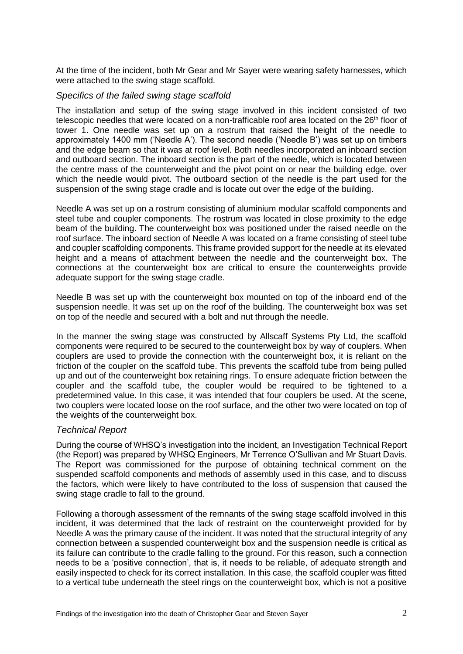At the time of the incident, both Mr Gear and Mr Sayer were wearing safety harnesses, which were attached to the swing stage scaffold.

#### *Specifics of the failed swing stage scaffold*

The installation and setup of the swing stage involved in this incident consisted of two telescopic needles that were located on a non-trafficable roof area located on the 26<sup>th</sup> floor of tower 1. One needle was set up on a rostrum that raised the height of the needle to approximately 1400 mm ('Needle A'). The second needle ('Needle B') was set up on timbers and the edge beam so that it was at roof level. Both needles incorporated an inboard section and outboard section. The inboard section is the part of the needle, which is located between the centre mass of the counterweight and the pivot point on or near the building edge, over which the needle would pivot. The outboard section of the needle is the part used for the suspension of the swing stage cradle and is locate out over the edge of the building.

Needle A was set up on a rostrum consisting of aluminium modular scaffold components and steel tube and coupler components. The rostrum was located in close proximity to the edge beam of the building. The counterweight box was positioned under the raised needle on the roof surface. The inboard section of Needle A was located on a frame consisting of steel tube and coupler scaffolding components. This frame provided support for the needle at its elevated height and a means of attachment between the needle and the counterweight box. The connections at the counterweight box are critical to ensure the counterweights provide adequate support for the swing stage cradle.

Needle B was set up with the counterweight box mounted on top of the inboard end of the suspension needle. It was set up on the roof of the building. The counterweight box was set on top of the needle and secured with a bolt and nut through the needle.

In the manner the swing stage was constructed by Allscaff Systems Pty Ltd, the scaffold components were required to be secured to the counterweight box by way of couplers. When couplers are used to provide the connection with the counterweight box, it is reliant on the friction of the coupler on the scaffold tube. This prevents the scaffold tube from being pulled up and out of the counterweight box retaining rings. To ensure adequate friction between the coupler and the scaffold tube, the coupler would be required to be tightened to a predetermined value. In this case, it was intended that four couplers be used. At the scene, two couplers were located loose on the roof surface, and the other two were located on top of the weights of the counterweight box.

### *Technical Report*

During the course of WHSQ's investigation into the incident, an Investigation Technical Report (the Report) was prepared by WHSQ Engineers, Mr Terrence O'Sullivan and Mr Stuart Davis. The Report was commissioned for the purpose of obtaining technical comment on the suspended scaffold components and methods of assembly used in this case, and to discuss the factors, which were likely to have contributed to the loss of suspension that caused the swing stage cradle to fall to the ground.

Following a thorough assessment of the remnants of the swing stage scaffold involved in this incident, it was determined that the lack of restraint on the counterweight provided for by Needle A was the primary cause of the incident. It was noted that the structural integrity of any connection between a suspended counterweight box and the suspension needle is critical as its failure can contribute to the cradle falling to the ground. For this reason, such a connection needs to be a 'positive connection', that is, it needs to be reliable, of adequate strength and easily inspected to check for its correct installation. In this case, the scaffold coupler was fitted to a vertical tube underneath the steel rings on the counterweight box, which is not a positive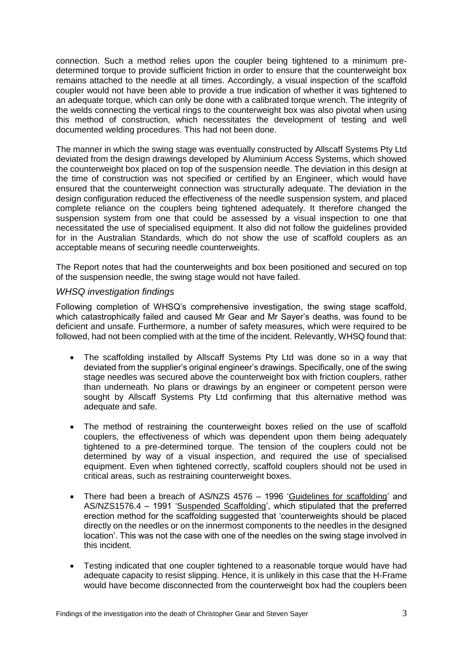connection. Such a method relies upon the coupler being tightened to a minimum predetermined torque to provide sufficient friction in order to ensure that the counterweight box remains attached to the needle at all times. Accordingly, a visual inspection of the scaffold coupler would not have been able to provide a true indication of whether it was tightened to an adequate torque, which can only be done with a calibrated torque wrench. The integrity of the welds connecting the vertical rings to the counterweight box was also pivotal when using this method of construction, which necessitates the development of testing and well documented welding procedures. This had not been done.

The manner in which the swing stage was eventually constructed by Allscaff Systems Pty Ltd deviated from the design drawings developed by Aluminium Access Systems, which showed the counterweight box placed on top of the suspension needle. The deviation in this design at the time of construction was not specified or certified by an Engineer, which would have ensured that the counterweight connection was structurally adequate. The deviation in the design configuration reduced the effectiveness of the needle suspension system, and placed complete reliance on the couplers being tightened adequately. It therefore changed the suspension system from one that could be assessed by a visual inspection to one that necessitated the use of specialised equipment. It also did not follow the guidelines provided for in the Australian Standards, which do not show the use of scaffold couplers as an acceptable means of securing needle counterweights.

The Report notes that had the counterweights and box been positioned and secured on top of the suspension needle, the swing stage would not have failed.

### *WHSQ investigation findings*

Following completion of WHSQ's comprehensive investigation, the swing stage scaffold, which catastrophically failed and caused Mr Gear and Mr Sayer's deaths, was found to be deficient and unsafe. Furthermore, a number of safety measures, which were required to be followed, had not been complied with at the time of the incident. Relevantly, WHSQ found that:

- The scaffolding installed by Allscaff Systems Pty Ltd was done so in a way that deviated from the supplier's original engineer's drawings. Specifically, one of the swing stage needles was secured above the counterweight box with friction couplers, rather than underneath. No plans or drawings by an engineer or competent person were sought by Allscaff Systems Pty Ltd confirming that this alternative method was adequate and safe.
- The method of restraining the counterweight boxes relied on the use of scaffold couplers, the effectiveness of which was dependent upon them being adequately tightened to a pre-determined torque. The tension of the couplers could not be determined by way of a visual inspection, and required the use of specialised equipment. Even when tightened correctly, scaffold couplers should not be used in critical areas, such as restraining counterweight boxes.
- There had been a breach of AS/NZS 4576 1996 'Guidelines for scaffolding' and AS/NZS1576.4 – 1991 'Suspended Scaffolding', which stipulated that the preferred erection method for the scaffolding suggested that 'counterweights should be placed directly on the needles or on the innermost components to the needles in the designed location'. This was not the case with one of the needles on the swing stage involved in this incident.
- Testing indicated that one coupler tightened to a reasonable torque would have had adequate capacity to resist slipping. Hence, it is unlikely in this case that the H-Frame would have become disconnected from the counterweight box had the couplers been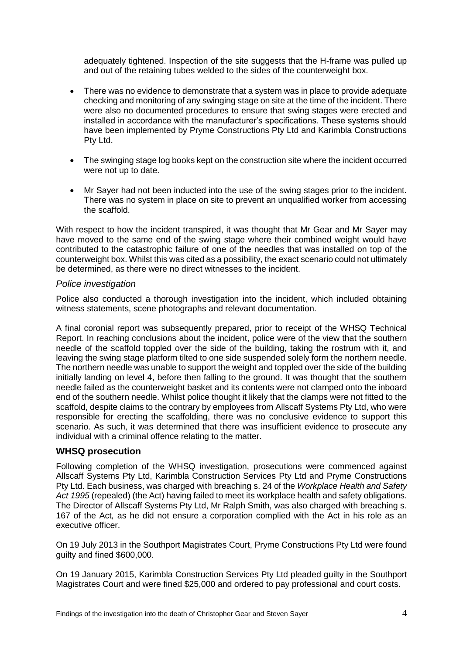adequately tightened. Inspection of the site suggests that the H-frame was pulled up and out of the retaining tubes welded to the sides of the counterweight box.

- There was no evidence to demonstrate that a system was in place to provide adequate checking and monitoring of any swinging stage on site at the time of the incident. There were also no documented procedures to ensure that swing stages were erected and installed in accordance with the manufacturer's specifications. These systems should have been implemented by Pryme Constructions Pty Ltd and Karimbla Constructions Pty Ltd.
- The swinging stage log books kept on the construction site where the incident occurred were not up to date.
- Mr Sayer had not been inducted into the use of the swing stages prior to the incident. There was no system in place on site to prevent an unqualified worker from accessing the scaffold.

With respect to how the incident transpired, it was thought that Mr Gear and Mr Sayer may have moved to the same end of the swing stage where their combined weight would have contributed to the catastrophic failure of one of the needles that was installed on top of the counterweight box. Whilst this was cited as a possibility, the exact scenario could not ultimately be determined, as there were no direct witnesses to the incident.

### *Police investigation*

Police also conducted a thorough investigation into the incident, which included obtaining witness statements, scene photographs and relevant documentation.

A final coronial report was subsequently prepared, prior to receipt of the WHSQ Technical Report. In reaching conclusions about the incident, police were of the view that the southern needle of the scaffold toppled over the side of the building, taking the rostrum with it, and leaving the swing stage platform tilted to one side suspended solely form the northern needle. The northern needle was unable to support the weight and toppled over the side of the building initially landing on level 4, before then falling to the ground. It was thought that the southern needle failed as the counterweight basket and its contents were not clamped onto the inboard end of the southern needle. Whilst police thought it likely that the clamps were not fitted to the scaffold, despite claims to the contrary by employees from Allscaff Systems Pty Ltd, who were responsible for erecting the scaffolding, there was no conclusive evidence to support this scenario. As such, it was determined that there was insufficient evidence to prosecute any individual with a criminal offence relating to the matter.

### **WHSQ prosecution**

Following completion of the WHSQ investigation, prosecutions were commenced against Allscaff Systems Pty Ltd, Karimbla Construction Services Pty Ltd and Pryme Constructions Pty Ltd. Each business, was charged with breaching s. 24 of the *Workplace Health and Safety Act 1995* (repealed) (the Act) having failed to meet its workplace health and safety obligations. The Director of Allscaff Systems Pty Ltd, Mr Ralph Smith, was also charged with breaching s. 167 of the Act*,* as he did not ensure a corporation complied with the Act in his role as an executive officer.

On 19 July 2013 in the Southport Magistrates Court, Pryme Constructions Pty Ltd were found guilty and fined \$600,000.

On 19 January 2015, Karimbla Construction Services Pty Ltd pleaded guilty in the Southport Magistrates Court and were fined \$25,000 and ordered to pay professional and court costs.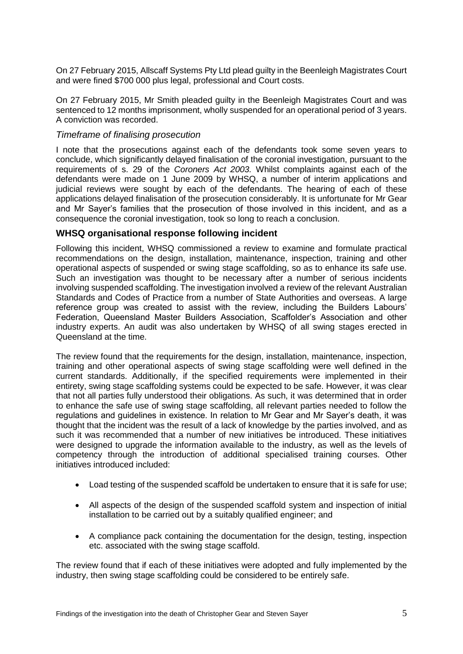On 27 February 2015, Allscaff Systems Pty Ltd plead guilty in the Beenleigh Magistrates Court and were fined \$700 000 plus legal, professional and Court costs.

On 27 February 2015, Mr Smith pleaded guilty in the Beenleigh Magistrates Court and was sentenced to 12 months imprisonment, wholly suspended for an operational period of 3 years. A conviction was recorded.

#### *Timeframe of finalising prosecution*

I note that the prosecutions against each of the defendants took some seven years to conclude, which significantly delayed finalisation of the coronial investigation, pursuant to the requirements of s. 29 of the *Coroners Act 2003.* Whilst complaints against each of the defendants were made on 1 June 2009 by WHSQ, a number of interim applications and judicial reviews were sought by each of the defendants. The hearing of each of these applications delayed finalisation of the prosecution considerably. It is unfortunate for Mr Gear and Mr Sayer's families that the prosecution of those involved in this incident, and as a consequence the coronial investigation, took so long to reach a conclusion.

### **WHSQ organisational response following incident**

Following this incident, WHSQ commissioned a review to examine and formulate practical recommendations on the design, installation, maintenance, inspection, training and other operational aspects of suspended or swing stage scaffolding, so as to enhance its safe use. Such an investigation was thought to be necessary after a number of serious incidents involving suspended scaffolding. The investigation involved a review of the relevant Australian Standards and Codes of Practice from a number of State Authorities and overseas. A large reference group was created to assist with the review, including the Builders Labours' Federation, Queensland Master Builders Association, Scaffolder's Association and other industry experts. An audit was also undertaken by WHSQ of all swing stages erected in Queensland at the time.

The review found that the requirements for the design, installation, maintenance, inspection, training and other operational aspects of swing stage scaffolding were well defined in the current standards. Additionally, if the specified requirements were implemented in their entirety, swing stage scaffolding systems could be expected to be safe. However, it was clear that not all parties fully understood their obligations. As such, it was determined that in order to enhance the safe use of swing stage scaffolding, all relevant parties needed to follow the regulations and guidelines in existence. In relation to Mr Gear and Mr Sayer's death, it was thought that the incident was the result of a lack of knowledge by the parties involved, and as such it was recommended that a number of new initiatives be introduced. These initiatives were designed to upgrade the information available to the industry, as well as the levels of competency through the introduction of additional specialised training courses. Other initiatives introduced included:

- Load testing of the suspended scaffold be undertaken to ensure that it is safe for use;
- All aspects of the design of the suspended scaffold system and inspection of initial installation to be carried out by a suitably qualified engineer; and
- A compliance pack containing the documentation for the design, testing, inspection etc. associated with the swing stage scaffold.

The review found that if each of these initiatives were adopted and fully implemented by the industry, then swing stage scaffolding could be considered to be entirely safe.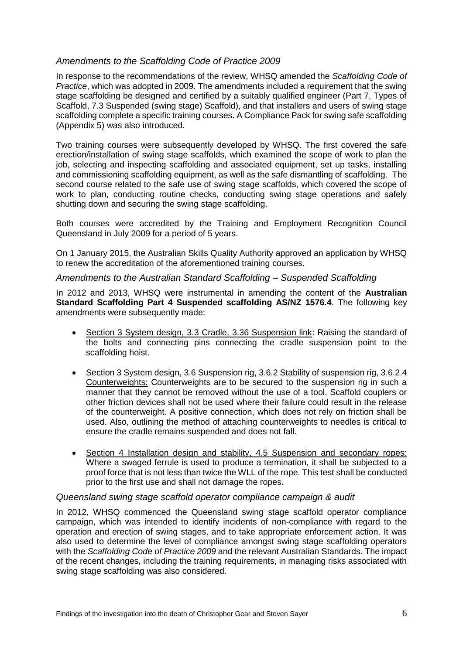# *Amendments to the Scaffolding Code of Practice 2009*

In response to the recommendations of the review, WHSQ amended the *Scaffolding Code of Practice*, which was adopted in 2009. The amendments included a requirement that the swing stage scaffolding be designed and certified by a suitably qualified engineer (Part 7, Types of Scaffold, 7.3 Suspended (swing stage) Scaffold), and that installers and users of swing stage scaffolding complete a specific training courses. A Compliance Pack for swing safe scaffolding (Appendix 5) was also introduced.

Two training courses were subsequently developed by WHSQ. The first covered the safe erection/installation of swing stage scaffolds, which examined the scope of work to plan the job, selecting and inspecting scaffolding and associated equipment, set up tasks, installing and commissioning scaffolding equipment, as well as the safe dismantling of scaffolding. The second course related to the safe use of swing stage scaffolds, which covered the scope of work to plan, conducting routine checks, conducting swing stage operations and safely shutting down and securing the swing stage scaffolding.

Both courses were accredited by the Training and Employment Recognition Council Queensland in July 2009 for a period of 5 years.

On 1 January 2015, the Australian Skills Quality Authority approved an application by WHSQ to renew the accreditation of the aforementioned training courses.

### *Amendments to the Australian Standard Scaffolding – Suspended Scaffolding*

In 2012 and 2013, WHSQ were instrumental in amending the content of the **Australian Standard Scaffolding Part 4 Suspended scaffolding AS/NZ 1576.4**. The following key amendments were subsequently made:

- Section 3 System design, 3.3 Cradle, 3.36 Suspension link: Raising the standard of the bolts and connecting pins connecting the cradle suspension point to the scaffolding hoist.
- Section 3 System design, 3.6 Suspension rig, 3.6.2 Stability of suspension rig, 3.6.2.4 Counterweights: Counterweights are to be secured to the suspension rig in such a manner that they cannot be removed without the use of a tool. Scaffold couplers or other friction devices shall not be used where their failure could result in the release of the counterweight. A positive connection, which does not rely on friction shall be used. Also, outlining the method of attaching counterweights to needles is critical to ensure the cradle remains suspended and does not fall.
- Section 4 Installation design and stability, 4.5 Suspension and secondary ropes: Where a swaged ferrule is used to produce a termination, it shall be subjected to a proof force that is not less than twice the WLL of the rope. This test shall be conducted prior to the first use and shall not damage the ropes.

### *Queensland swing stage scaffold operator compliance campaign & audit*

In 2012, WHSQ commenced the Queensland swing stage scaffold operator compliance campaign, which was intended to identify incidents of non-compliance with regard to the operation and erection of swing stages, and to take appropriate enforcement action. It was also used to determine the level of compliance amongst swing stage scaffolding operators with the *Scaffolding Code of Practice 2009* and the relevant Australian Standards. The impact of the recent changes, including the training requirements, in managing risks associated with swing stage scaffolding was also considered.